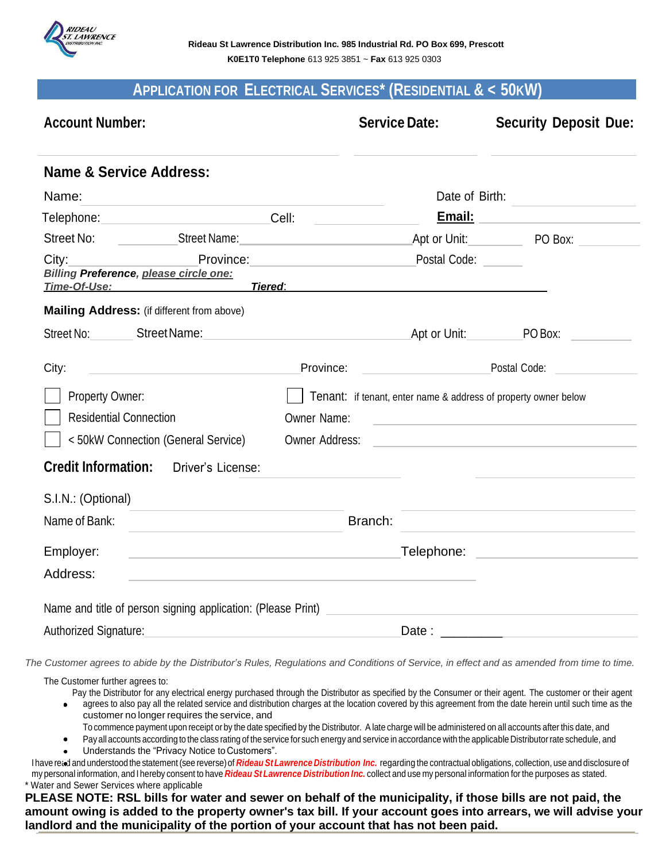

## **APPLICATION FOR ELECTRICAL SERVICES\* (RESIDENTIAL & < 50KW)**

| <b>Account Number:</b>                                                                                                                                                                                                                                                                                                                              |                                                                                                                       | <b>Service Date:</b> | <b>Security Deposit Due:</b>                                                                                                                                                                                                   |
|-----------------------------------------------------------------------------------------------------------------------------------------------------------------------------------------------------------------------------------------------------------------------------------------------------------------------------------------------------|-----------------------------------------------------------------------------------------------------------------------|----------------------|--------------------------------------------------------------------------------------------------------------------------------------------------------------------------------------------------------------------------------|
| <b>Name &amp; Service Address:</b>                                                                                                                                                                                                                                                                                                                  |                                                                                                                       |                      |                                                                                                                                                                                                                                |
| Name:                                                                                                                                                                                                                                                                                                                                               |                                                                                                                       | Date of Birth:       |                                                                                                                                                                                                                                |
|                                                                                                                                                                                                                                                                                                                                                     |                                                                                                                       |                      | <u>Email: ______________________</u>                                                                                                                                                                                           |
| Street No: Street Name: Street Name:                                                                                                                                                                                                                                                                                                                |                                                                                                                       |                      | Apt or Unit: PO Box:                                                                                                                                                                                                           |
| Example 2014 Province: Province: Postal Code: 2014<br>City:<br><b>Billing Preference, please circle one:</b><br><u>Time-Of-Use: Tiered:</u> Time-Of-Use: Transformation of the contract of the contract of the contract of the contract of the contract of the contract of the contract of the contract of the contract of the contract of the cont |                                                                                                                       |                      |                                                                                                                                                                                                                                |
| Mailing Address: (if different from above)                                                                                                                                                                                                                                                                                                          |                                                                                                                       |                      |                                                                                                                                                                                                                                |
| Street No: Street Name: Street Name:                                                                                                                                                                                                                                                                                                                |                                                                                                                       | Apt or Unit:         | PO Box: and the state of the state of the state of the state of the state of the state of the state of the state of the state of the state of the state of the state of the state of the state of the state of the state of th |
| City:                                                                                                                                                                                                                                                                                                                                               | Province:                                                                                                             |                      | Postal Code: Note that the state of the state of the state of the state of the state of the state of the state of the state of the state of the state of the state of the state of the state of the state of the state of the  |
| Property Owner:                                                                                                                                                                                                                                                                                                                                     |                                                                                                                       |                      | Tenant: if tenant, enter name & address of property owner below                                                                                                                                                                |
| <b>Residential Connection</b>                                                                                                                                                                                                                                                                                                                       | <b>Owner Name:</b>                                                                                                    |                      | <u> 1989 - Johann John Stein, mars et al. 1989 - Anna ann an t-Anna ann an t-Anna ann an t-Anna ann an t-Anna ann</u>                                                                                                          |
| <50kW Connection (General Service)                                                                                                                                                                                                                                                                                                                  | <b>Owner Address:</b>                                                                                                 |                      | <u> 1989 - Andrea State Barbara, amerikan personal di sebagai personal di sebagai personal di sebagai personal di</u>                                                                                                          |
| <b>Credit Information:</b> Driver's License:                                                                                                                                                                                                                                                                                                        |                                                                                                                       |                      |                                                                                                                                                                                                                                |
| S.I.N.: (Optional)                                                                                                                                                                                                                                                                                                                                  |                                                                                                                       |                      |                                                                                                                                                                                                                                |
| Name of Bank:                                                                                                                                                                                                                                                                                                                                       | Branch:                                                                                                               |                      |                                                                                                                                                                                                                                |
| Employer:<br><u> 1989 - Johann Barbara, martxa alemaniar arg</u>                                                                                                                                                                                                                                                                                    |                                                                                                                       |                      | Telephone: The contract of the contract of the contract of the contract of the contract of the contract of the                                                                                                                 |
| Address:                                                                                                                                                                                                                                                                                                                                            | <u> 1980 - Johann Stein, marwolaethau a bhaile an t-Amhair an t-Amhair an t-Amhair an t-Amhair an t-Amhair an t-A</u> |                      |                                                                                                                                                                                                                                |
| Name and title of person signing application: (Please Print)                                                                                                                                                                                                                                                                                        |                                                                                                                       |                      |                                                                                                                                                                                                                                |
| Authorized Signature:                                                                                                                                                                                                                                                                                                                               |                                                                                                                       |                      |                                                                                                                                                                                                                                |

The Customer agrees to abide by the Distributor's Rules, Regulations and Conditions of Service, in effect and as amended from time to time.

The Customer further agrees to:

Pay the Distributor for any electrical energy purchased through the Distributor as specified by the Consumer or their agent. The customer or their agent

agrees to also pay all the related service and distribution charges at the location covered by this agreement from the date herein until such time as the customer no longer requires the service, and

To commence payment upon receipt or by the date specified by the Distributor. A late charge will be administered on all accounts after this date, and

Pay all accounts according to the class rating of the service for such energy and service in accordance with the applicable Distributor rate schedule, and Understands the "Privacy Notice to Customers".

I have read and understood the statement (see reverse) of *Rideau St Lawrence Distribution Inc.* regarding the contractual obligations, collection, use and disclosure of my personal information, and I hereby consent to have *Rideau St Lawrence Distribution Inc.* collect and use my personal information forthe purposes as stated. \* Water and Sewer Services where applicable

**PLEASE NOTE: RSL bills for water and sewer on behalf of the municipality, if those bills are not paid, the amount owing is added to the property owner's tax bill. If your account goes into arrears, we will advise your landlord and the municipality of the portion of your account that has not been paid.**